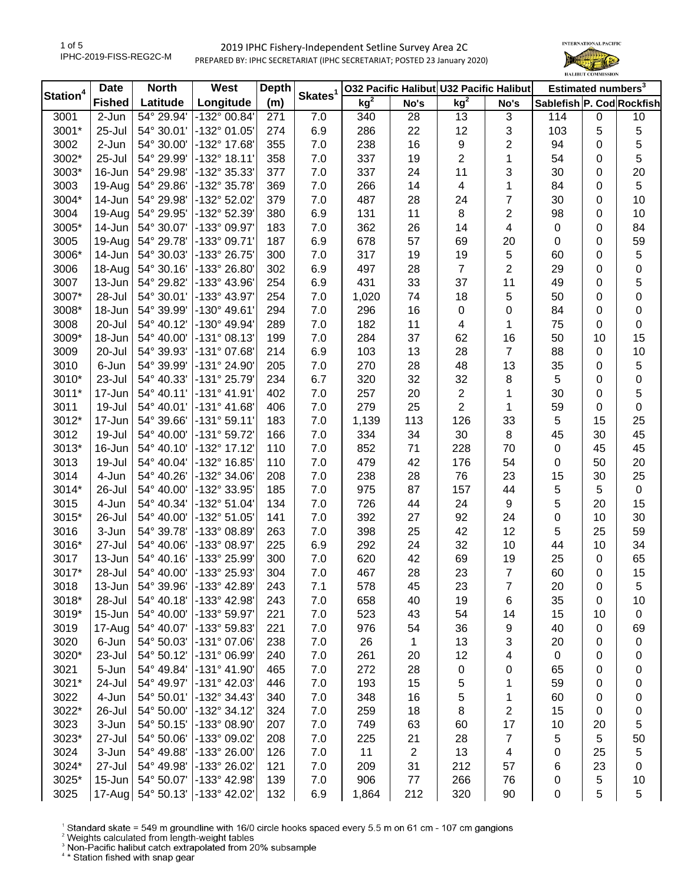

| Station <sup>4</sup> | <b>Date</b>   | <b>North</b> | West                    | <b>Depth</b> | Skates <sup>1</sup> | 032 Pacific Halibut U32 Pacific Halibut |      |                 |                         |                           | Estimated numbers <sup>3</sup> |             |
|----------------------|---------------|--------------|-------------------------|--------------|---------------------|-----------------------------------------|------|-----------------|-------------------------|---------------------------|--------------------------------|-------------|
|                      | <b>Fished</b> | Latitude     | Longitude               | (m)          |                     | kg <sup>2</sup>                         | No's | kg <sup>2</sup> | No's                    | Sablefish P. Cod Rockfish |                                |             |
| 3001                 | 2-Jun         | 54° 29.94'   | -132° 00.84'            | 271          | 7.0                 | 340                                     | 28   | 13              | 3                       | 114                       | $\mathbf 0$                    | 10          |
| 3001*                | 25-Jul        | 54° 30.01'   | -132° 01.05'            | 274          | 6.9                 | 286                                     | 22   | 12              | 3                       | 103                       | 5                              | $\,$ 5 $\,$ |
| 3002                 | 2-Jun         | 54° 30.00'   | -132° 17.68'            | 355          | 7.0                 | 238                                     | 16   | 9               | $\overline{\mathbf{c}}$ | 94                        | 0                              | $\mathbf 5$ |
| 3002*                | 25-Jul        | 54° 29.99'   | $-132^{\circ}$ 18.11'   | 358          | 7.0                 | 337                                     | 19   | $\overline{2}$  | 1                       | 54                        | 0                              | 5           |
| 3003*                | $16$ -Jun     | 54° 29.98'   | -132° 35.33'            | 377          | 7.0                 | 337                                     | 24   | 11              | 3                       | 30                        | 0                              | 20          |
| 3003                 | $19$ -Aug     | 54° 29.86'   | -132° 35.78'            | 369          | 7.0                 | 266                                     | 14   | 4               | 1                       | 84                        | 0                              | 5           |
| 3004*                | 14-Jun $ $    | 54° 29.98'   | -132° 52.02'            | 379          | 7.0                 | 487                                     | 28   | 24              | 7                       | 30                        | 0                              | 10          |
| 3004                 | $19-Aug$      | 54° 29.95'   | -132° 52.39'            | 380          | 6.9                 | 131                                     | 11   | 8               | 2                       | 98                        | 0                              | 10          |
| 3005*                | $14$ -Jun     | 54° 30.07'   | -133° 09.97'            | 183          | 7.0                 | 362                                     | 26   | 14              | 4                       | 0                         | 0                              | 84          |
| 3005                 | $19$ -Aug     | 54° 29.78'   | -133° 09.71'            | 187          | 6.9                 | 678                                     | 57   | 69              | 20                      | $\pmb{0}$                 | 0                              | 59          |
| 3006*                | $14$ -Jun     | 54° 30.03'   | -133° 26.75'            | 300          | 7.0                 | 317                                     | 19   | 19              | 5                       | 60                        | 0                              | 5           |
| 3006                 | $18 - Aug$    | 54° 30.16'   | -133° 26.80'            | 302          | 6.9                 | 497                                     | 28   | $\overline{7}$  | 2                       | 29                        | 0                              | $\pmb{0}$   |
| 3007                 | 13-Jun        | 54° 29.82'   | -133° 43.96'            | 254          | 6.9                 | 431                                     | 33   | 37              | 11                      | 49                        | 0                              | 5           |
| 3007*                | 28-Jul        | 54° 30.01'   | -133° 43.97'            | 254          | 7.0                 | 1,020                                   | 74   | 18              | 5                       | 50                        | 0                              | $\pmb{0}$   |
| 3008*                | 18-Jun        | 54° 39.99'   | -130° 49.61'            | 294          | 7.0                 | 296                                     | 16   | 0               | 0                       | 84                        | 0                              | 0           |
| 3008                 | 20-Jul        | 54° 40.12'   | -130° 49.94'            | 289          | 7.0                 | 182                                     | 11   | 4               | 1                       | 75                        | 0                              | 0           |
| 3009*                | 18-Jun        | 54° 40.00'   | $-131°08.13'$           | 199          | 7.0                 | 284                                     | 37   | 62              | 16                      | 50                        | 10                             | 15          |
| 3009                 | 20-Jul        | 54° 39.93'   | -131° 07.68'            | 214          | 6.9                 | 103                                     | 13   | 28              | 7                       | 88                        | 0                              | 10          |
| 3010                 | 6-Jun         | 54° 39.99'   | -131° 24.90'            | 205          | 7.0                 | 270                                     | 28   | 48              | 13                      | 35                        | 0                              | $\mathbf 5$ |
| 3010*                | 23-Jul        | 54° 40.33'   | -131° 25.79'            | 234          | 6.7                 | 320                                     | 32   | 32              | 8                       | 5                         | 0                              | 0           |
| 3011*                | 17-Jun        | 54° 40.11'   | $-131°$ 41.91'          | 402          | 7.0                 | 257                                     | 20   | 2               | 1                       | 30                        | 0                              | 5           |
| 3011                 | 19-Jul        | 54° 40.01'   | $-131^{\circ}$ 41.68'   | 406          | 7.0                 | 279                                     | 25   | $\overline{2}$  | 1                       | 59                        | 0                              | 0           |
| 3012*                | $17 - Jun$    | 54° 39.66'   | $-131°59.11'$           | 183          | 7.0                 | 1,139                                   | 113  | 126             | 33                      | 5                         | 15                             | 25          |
| 3012                 | 19-Jul        | 54° 40.00'   | -131° 59.72'            | 166          | 7.0                 | 334                                     | 34   | 30              | 8                       | 45                        | 30                             | 45          |
| 3013*                | $16$ -Jun     | 54° 40.10'   | $-132^{\circ}$ 17.12    | 110          | 7.0                 | 852                                     | 71   | 228             | 70                      | 0                         | 45                             | 45          |
| 3013                 | 19-Jul        | 54° 40.04'   | -132° 16.85'            | 110          | 7.0                 | 479                                     | 42   | 176             | 54                      | 0                         | 50                             | 20          |
| 3014                 | 4-Jun         | 54° 40.26'   | -132° 34.06'            | 208          | 7.0                 | 238                                     | 28   | 76              | 23                      | 15                        | 30                             | 25          |
| 3014*                | 26-Jul        | 54° 40.00'   | -132° 33.95'            | 185          | 7.0                 | 975                                     | 87   | 157             | 44                      | 5                         | 5                              | $\pmb{0}$   |
| 3015                 | 4-Jun         | 54° 40.34'   | -132° 51.04'            | 134          | 7.0                 | 726                                     | 44   | 24              | 9                       | 5                         | 20                             | 15          |
| 3015*                | 26-Jul        | 54° 40.00'   | -132° 51.05'            | 141          | 7.0                 | 392                                     | 27   | 92              | 24                      | 0                         | 10                             | 30          |
| 3016                 | 3-Jun         | 54° 39.78'   | -133° 08.89'            | 263          | 7.0                 | 398                                     | 25   | 42              | 12                      | 5                         | 25                             | 59          |
| 3016*                | 27-Jul        | 54° 40.06'   | -133° 08.97'            | 225          | 6.9                 | 292                                     | 24   | 32              | 10                      | 44                        | 10                             | 34          |
| 3017                 | 13-Jun        | 54° 40.16'   | -133° 25.99'            | 300          | 7.0                 | 620                                     | 42   | 69              | 19                      | 25                        | 0                              | 65          |
| 3017*                | 28-Jul        | 54° 40.00'   | -133° 25.93'            | 304          | 7.0                 | 467                                     | 28   | 23              | $\overline{7}$          | 60                        | 0                              | 15          |
| 3018                 | 13-Jun        | 54° 39.96'   | -133° 42.89             | 243          | 7.1                 | 578                                     | 45   | 23              | 7                       | 20                        | 0                              | 5           |
| 3018*                | 28-Jul        | 54° 40.18'   | -133° 42.98'            | 243          | 7.0                 | 658                                     | 40   | 19              | 6                       | 35                        | 0                              | 10          |
| 3019*                | $15$ -Jun     | 54° 40.00'   | -133° 59.97'            | 221          | $7.0\,$             | 523                                     | 43   | 54              | 14                      | 15                        | 10                             | 0           |
| 3019                 | $17$ -Aug     | 54° 40.07'   | -133° 59.83'            | 221          | $7.0\,$             | 976                                     | 54   | 36              | 9                       | 40                        | 0                              | 69          |
| 3020                 | 6-Jun         | 54° 50.03'   | -131° 07.06'            | 238          | 7.0                 | 26                                      | 1    | 13              | 3                       | 20                        | 0                              | 0           |
| 3020*                | 23-Jul        | 54° 50.12'   | -131° 06.99'            | 240          | 7.0                 | 261                                     | 20   | 12              | 4                       | $\pmb{0}$                 | 0                              | 0           |
| 3021                 | 5-Jun         | 54° 49.84'   | -131° 41.90'            | 465          | 7.0                 | 272                                     | 28   | 0               | 0                       | 65                        | 0                              | 0           |
| 3021*                | 24-Jul        | 54° 49.97'   | -131° 42.03'            | 446          | 7.0                 | 193                                     | 15   | 5               | 1                       | 59                        | 0                              | 0           |
| 3022                 | 4-Jun         | 54° 50.01'   | -132° 34.43'            | 340          | 7.0                 | 348                                     | 16   | 5               | 1                       | 60                        | 0                              | 0           |
| 3022*                | 26-Jul        | 54° 50.00'   | -132° 34.12'            | 324          | $7.0\,$             | 259                                     | 18   | 8               | 2                       | 15                        | 0                              | 0           |
| 3023                 | 3-Jun         | 54° 50.15'   | -133° 08.90'            | 207          | $7.0\,$             | 749                                     | 63   | 60              | 17                      | 10                        | 20                             | 5           |
| 3023*                | 27-Jul        | 54° 50.06'   | -133° 09.02'            | 208          | $7.0\,$             | 225                                     | 21   | 28              | 7                       | 5                         | 5                              | 50          |
| 3024                 | 3-Jun         | 54° 49.88'   | -133° 26.00'            | 126          | $7.0$               | 11                                      | 2    | 13              | 4                       | 0                         | 25                             | 5           |
| 3024*                | 27-Jul        | 54° 49.98'   | -133° 26.02'            | 121          | 7.0                 | 209                                     | 31   | 212             | 57                      | 6                         | 23                             | 0           |
| 3025*                | 15-Jun $ $    | 54° 50.07'   | -133° 42.98'            | 139          | $7.0$               | 906                                     | 77   | 266             | 76                      | 0                         | 5                              | 10          |
| 3025                 | $17 - Aug$    |              | 54° 50.13' -133° 42.02' | 132          | 6.9                 | 1,864                                   | 212  | 320             | 90                      | 0                         | 5                              | 5           |
|                      |               |              |                         |              |                     |                                         |      |                 |                         |                           |                                |             |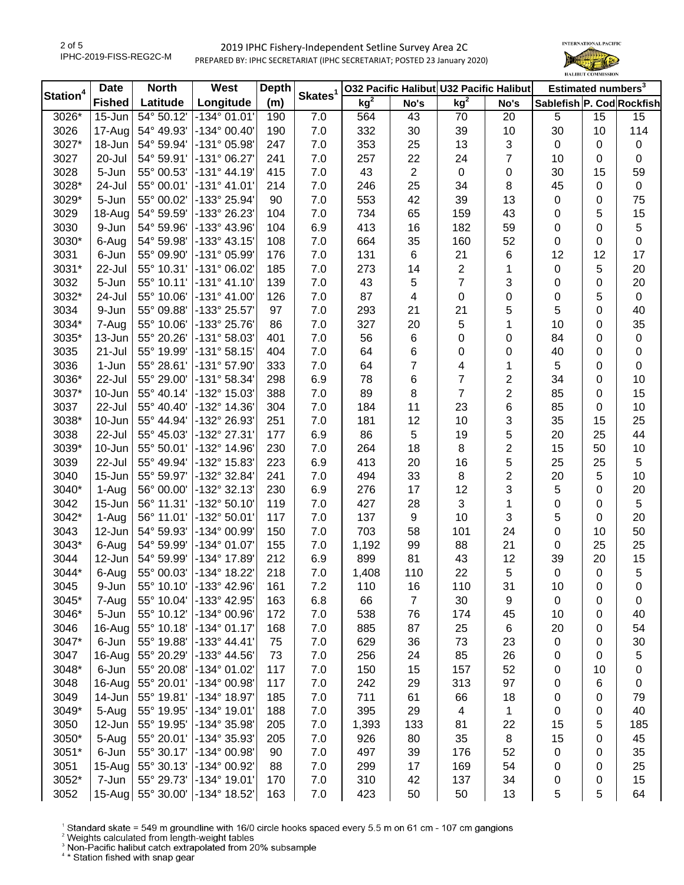

| Station <sup>4</sup> | <b>Date</b>   | <b>North</b> | West                    | <b>Depth</b> |                     |                 |                | 032 Pacific Halibut U32 Pacific Halibut |      |                           | Estimated numbers <sup>3</sup> |                  |
|----------------------|---------------|--------------|-------------------------|--------------|---------------------|-----------------|----------------|-----------------------------------------|------|---------------------------|--------------------------------|------------------|
|                      | <b>Fished</b> | Latitude     | Longitude               | (m)          | Skates <sup>1</sup> | kg <sup>2</sup> | No's           | kg <sup>2</sup>                         | No's | Sablefish P. Cod Rockfish |                                |                  |
| 3026*                | 15-Jun        | 54° 50.12'   | $-134^{\circ}$ 01.01'   | 190          | 7.0                 | 564             | 43             | 70                                      | 20   | 5                         | 15                             | 15               |
| 3026                 | $17 - Aug$    | 54° 49.93'   | -134° 00.40'            | 190          | 7.0                 | 332             | 30             | 39                                      | 10   | 30                        | 10                             | 114              |
| 3027*                | 18-Jun        | 54° 59.94'   | -131° 05.98'            | 247          | 7.0                 | 353             | 25             | 13                                      | 3    | $\pmb{0}$                 | 0                              | $\pmb{0}$        |
| 3027                 | 20-Jul        | 54° 59.91'   | -131° 06.27'            | 241          | 7.0                 | 257             | 22             | 24                                      | 7    | 10                        | 0                              | 0                |
| 3028                 | 5-Jun         | 55° 00.53'   | $-131° 44.19'$          | 415          | 7.0                 | 43              | $\overline{c}$ | 0                                       | 0    | 30                        | 15                             | 59               |
| 3028*                | 24-Jul        | 55° 00.01'   | $-131°$ 41.01'          | 214          | 7.0                 | 246             | 25             | 34                                      | 8    | 45                        | 0                              | 0                |
| 3029*                | 5-Jun         | 55° 00.02'   | -133° 25.94'            | 90           | 7.0                 | 553             | 42             | 39                                      | 13   | 0                         | 0                              | 75               |
| 3029                 | $18-Aug$      | 54° 59.59'   | -133° 26.23'            | 104          | 7.0                 | 734             | 65             | 159                                     | 43   | 0                         | 5                              | 15               |
| 3030                 | 9-Jun         | 54° 59.96'   | -133° 43.96'            | 104          | 6.9                 | 413             | 16             | 182                                     | 59   | 0                         | 0                              | 5                |
| 3030*                | 6-Aug         | 54° 59.98'   | -133° 43.15'            | 108          | 7.0                 | 664             | 35             | 160                                     | 52   | $\pmb{0}$                 | 0                              | $\boldsymbol{0}$ |
| 3031                 | 6-Jun         | 55° 09.90'   | -131° 05.99'            | 176          | 7.0                 | 131             | 6              | 21                                      | 6    | 12                        | 12                             | 17               |
| 3031*                | 22-Jul        | 55° 10.31'   | -131° 06.02'            | 185          | 7.0                 | 273             | 14             | $\overline{2}$                          | 1    | $\pmb{0}$                 | 5                              | 20               |
| 3032                 | 5-Jun         | 55° 10.11'   | $-131°$ 41.10           | 139          | 7.0                 | 43              | 5              | $\overline{7}$                          | 3    | $\pmb{0}$                 | 0                              | 20               |
| 3032*                | 24-Jul        | 55° 10.06'   | $-131°$ 41.00           | 126          | 7.0                 | 87              | 4              | 0                                       | 0    | 0                         | 5                              | $\pmb{0}$        |
| 3034                 | 9-Jun         | 55° 09.88'   | -133° 25.57'            | 97           | 7.0                 | 293             | 21             | 21                                      | 5    | 5                         | 0                              | 40               |
| 3034*                | 7-Aug         | 55° 10.06'   | -133° 25.76'            | 86           | 7.0                 | 327             | 20             | 5                                       | 1    | 10                        | 0                              | 35               |
| 3035*                | 13-Jun        | 55° 20.26'   | -131° 58.03'            | 401          | 7.0                 | 56              | 6              | 0                                       | 0    | 84                        | 0                              | $\pmb{0}$        |
| 3035                 | 21-Jul        | 55° 19.99'   | $-131°58.15'$           | 404          | 7.0                 | 64              | 6              | 0                                       | 0    | 40                        | 0                              | $\pmb{0}$        |
| 3036                 | 1-Jun         | 55° 28.61'   | $-131°57.90'$           | 333          | 7.0                 | 64              | 7              | 4                                       | 1    | 5                         | 0                              | $\boldsymbol{0}$ |
| 3036*                | 22-Jul        | 55° 29.00'   | -131° 58.34'            | 298          | 6.9                 | 78              | 6              | $\overline{7}$                          | 2    | 34                        | 0                              | 10               |
| 3037*                | $10 - Jun$    | 55° 40.14'   | -132° 15.03'            | 388          | 7.0                 | 89              | 8              | $\overline{7}$                          | 2    | 85                        | 0                              | 15               |
| 3037                 | 22-Jul        | 55° 40.40'   | -132° 14.36'            | 304          | 7.0                 | 184             | 11             | 23                                      | 6    | 85                        | 0                              | 10               |
| 3038*                | $10$ -Jun     | 55° 44.94'   | -132° 26.93'            | 251          | 7.0                 | 181             | 12             | 10                                      | 3    | 35                        | 15                             | 25               |
| 3038                 | 22-Jul        | 55° 45.03'   | -132° 27.31'            | 177          | 6.9                 | 86              | 5              | 19                                      | 5    | 20                        | 25                             | 44               |
| 3039*                | $10$ -Jun     | 55° 50.01'   | -132° 14.96'            | 230          | 7.0                 | 264             | 18             | 8                                       | 2    | 15                        | 50                             | 10               |
| 3039                 | 22-Jul        | 55° 49.94'   | -132° 15.83'            | 223          | 6.9                 | 413             | 20             | 16                                      | 5    | 25                        | 25                             | 5                |
| 3040                 | 15-Jun $ $    | 55° 59.97'   | -132° 32.84'            | 241          | 7.0                 | 494             | 33             | 8                                       | 2    | 20                        | 5                              | 10               |
| 3040*                | 1-Aug         | 56° 00.00'   | -132° 32.13'            | 230          | 6.9                 | 276             | 17             | 12                                      | 3    | 5                         | 0                              | 20               |
| 3042                 | $15$ -Jun     | 56° 11.31'   | -132° 50.10'            | 119          | 7.0                 | 427             | 28             | 3                                       | 1    | $\pmb{0}$                 | 0                              | $\sqrt{5}$       |
| 3042*                | 1-Aug         | 56° 11.01'   | -132° 50.01'            | 117          | 7.0                 | 137             | 9              | 10                                      | 3    | 5                         | 0                              | 20               |
| 3043                 | $12$ -Jun     | 54° 59.93'   | -134° 00.99'            | 150          | 7.0                 | 703             | 58             | 101                                     | 24   | $\pmb{0}$                 | 10                             | 50               |
| 3043*                | 6-Aug         | 54° 59.99'   | -134° 01.07'            | 155          | 7.0                 | 1,192           | 99             | 88                                      | 21   | $\pmb{0}$                 | 25                             | 25               |
| 3044                 | $12$ -Jun     | 54° 59.99'   | -134° 17.89'            | 212          | 6.9                 | 899             | 81             | 43                                      | 12   | 39                        | 20                             | 15               |
| 3044*                | 6-Aug         | 55° 00.03'   | -134° 18.22'            | 218          | 7.0                 | 1,408           | 110            | 22                                      | 5    | $\pmb{0}$                 | 0                              | 5                |
| 3045                 | 9-Jun         | 55° 10.10'   | $-133^{\circ}$ 42.96    | 161          | 7.2                 | 110             | 16             | 110                                     | 31   | 10                        | 0                              | 0                |
| 3045*                | 7-Aug         | 55° 10.04'   | -133° 42.95'            | 163          | 6.8                 | 66              | $\overline{7}$ | 30                                      | 9    | 0                         | 0                              | 0                |
| 3046*                | 5-Jun         | 55° 10.12'   | -134° 00.96'            | 172          | 7.0                 | 538             | 76             | 174                                     | 45   | 10                        | 0                              | 40               |
| 3046                 | $16$ -Aug     | 55° 10.18'   | $-134^{\circ}$ 01.17'   | 168          | 7.0                 | 885             | 87             | 25                                      | 6    | 20                        | 0                              | 54               |
| 3047*                | 6-Jun         | 55° 19.88'   | $-133^{\circ}$ 44.41'   | 75           | 7.0                 | 629             | 36             | 73                                      | 23   | 0                         | 0                              | 30               |
| 3047                 | 16-Aug        | 55° 20.29'   | -133° 44.56'            | 73           | 7.0                 | 256             | 24             | 85                                      | 26   | 0                         | 0                              | 5                |
| 3048*                | 6-Jun         | 55° 20.08'   | -134° 01.02'            | 117          | 7.0                 | 150             | 15             | 157                                     | 52   | 0                         | 10                             | 0                |
| 3048                 | $16$ -Aug     | 55° 20.01'   | -134° 00.98'            | 117          | 7.0                 | 242             | 29             | 313                                     | 97   | 0                         | 6                              | 0                |
| 3049                 | $14$ -Jun     | 55° 19.81'   | -134° 18.97'            | 185          | 7.0                 | 711             | 61             | 66                                      | 18   | 0                         | 0                              | 79               |
| 3049*                | 5-Aug         | 55° 19.95'   | -134° 19.01'            | 188          | 7.0                 | 395             | 29             | 4                                       | 1    | 0                         | 0                              | 40               |
| 3050                 | $12$ -Jun     | 55° 19.95'   | -134° 35.98'            | 205          | 7.0                 | 1,393           | 133            | 81                                      | 22   | 15                        | 5                              | 185              |
| 3050*                | 5-Aug         | 55° 20.01'   | -134° 35.93'            | 205          | 7.0                 | 926             | 80             | 35                                      | 8    | 15                        | 0                              | 45               |
| 3051*                | 6-Jun         | 55° 30.17'   | -134° 00.98'            | 90           | 7.0                 | 497             | 39             | 176                                     | 52   | 0                         | 0                              | 35               |
| 3051                 | $15 - Aug$    | 55° 30.13'   | -134° 00.92'            | 88           | 7.0                 | 299             | 17             | 169                                     | 54   | 0                         | 0                              | 25               |
| 3052*                | 7-Jun         | 55° 29.73'   | -134° 19.01'            | 170          | 7.0                 | 310             | 42             | 137                                     | 34   | 0                         | 0                              | 15               |
| 3052                 | $15 - Aug$    |              | 55° 30.00' -134° 18.52' | 163          | 7.0                 | 423             | 50             | 50                                      | 13   | 5                         | 5                              | 64               |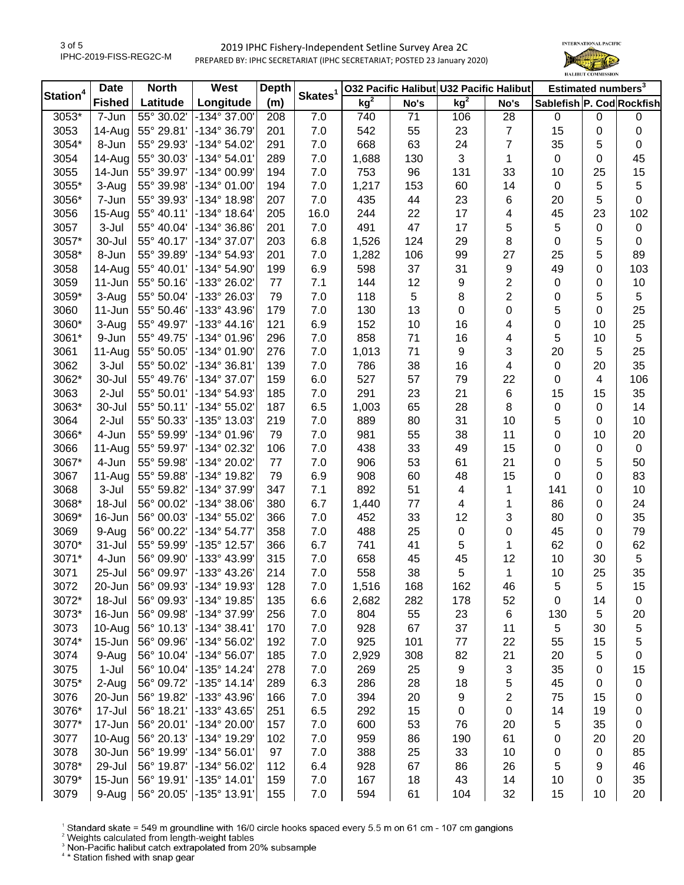

| Station <sup>4</sup> | <b>Date</b>   | <b>North</b> | West                  | <b>Depth</b> |                     |                 |      | 032 Pacific Halibut U32 Pacific Halibut |                | Estimated numbers <sup>3</sup> |    |                  |
|----------------------|---------------|--------------|-----------------------|--------------|---------------------|-----------------|------|-----------------------------------------|----------------|--------------------------------|----|------------------|
|                      | <b>Fished</b> | Latitude     | Longitude             | (m)          | Skates <sup>1</sup> | kg <sup>2</sup> | No's | kg <sup>2</sup>                         | No's           | Sablefish P. Cod Rockfish      |    |                  |
| 3053*                | 7-Jun         | 55° 30.02'   | -134° 37.00'          | 208          | 7.0                 | 740             | 71   | 106                                     | 28             | 0                              | 0  | 0                |
| 3053                 | $14 - Aug$    | 55° 29.81'   | -134° 36.79'          | 201          | 7.0                 | 542             | 55   | 23                                      | $\overline{7}$ | 15                             | 0  | $\pmb{0}$        |
| 3054*                | 8-Jun         | 55° 29.93'   | -134° 54.02'          | 291          | 7.0                 | 668             | 63   | 24                                      | 7              | 35                             | 5  | $\boldsymbol{0}$ |
| 3054                 | $14$ -Aug     | 55° 30.03'   | $-134^{\circ} 54.01'$ | 289          | 7.0                 | 1,688           | 130  | 3                                       | 1              | $\pmb{0}$                      | 0  | 45               |
| 3055                 | $14$ -Jun     | 55° 39.97'   | -134° 00.99'          | 194          | 7.0                 | 753             | 96   | 131                                     | 33             | 10                             | 25 | 15               |
| 3055*                | 3-Aug         | 55° 39.98'   | $-134^{\circ}$ 01.00  | 194          | 7.0                 | 1,217           | 153  | 60                                      | 14             | 0                              | 5  | 5                |
| 3056*                | 7-Jun         | 55° 39.93'   | -134° 18.98'          | 207          | 7.0                 | 435             | 44   | 23                                      | 6              | 20                             | 5  | 0                |
| 3056                 | $15$ -Aug     | 55° 40.11'   | -134° 18.64'          | 205          | 16.0                | 244             | 22   | 17                                      | 4              | 45                             | 23 | 102              |
| 3057                 | 3-Jul         | 55° 40.04'   | -134° 36.86'          | 201          | 7.0                 | 491             | 47   | 17                                      | 5              | 5                              | 0  | $\pmb{0}$        |
| 3057*                | 30-Jul        | 55° 40.17'   | -134° 37.07'          | 203          | 6.8                 | 1,526           | 124  | 29                                      | 8              | $\pmb{0}$                      | 5  | $\boldsymbol{0}$ |
| 3058*                | 8-Jun         | 55° 39.89'   | -134° 54.93'          | 201          | 7.0                 | 1,282           | 106  | 99                                      | 27             | 25                             | 5  | 89               |
| 3058                 | $14 - Aug$    | 55° 40.01'   | -134° 54.90'          | 199          | 6.9                 | 598             | 37   | 31                                      | 9              | 49                             | 0  | 103              |
| 3059                 | $11 - Jun$    | 55° 50.16'   | -133° 26.02'          | 77           | 7.1                 | 144             | 12   | 9                                       | $\overline{c}$ | $\pmb{0}$                      | 0  | $10$             |
| 3059*                | 3-Aug         | 55° 50.04'   | -133° 26.03'          | 79           | 7.0                 | 118             | 5    | 8                                       | $\overline{c}$ | 0                              | 5  | 5                |
| 3060                 | $11$ -Jun     | 55° 50.46'   | -133° 43.96'          | 179          | 7.0                 | 130             | 13   | 0                                       | 0              | 5                              | 0  | 25               |
| 3060*                | 3-Aug         | 55° 49.97'   | $-133^{\circ}$ 44.16  | 121          | 6.9                 | 152             | 10   | 16                                      | 4              | 0                              | 10 | 25               |
| 3061*                | 9-Jun         | 55° 49.75'   | -134° 01.96'          | 296          | 7.0                 | 858             | 71   | 16                                      | 4              | 5                              | 10 | 5                |
| 3061                 | $11-Auq$      | 55° 50.05'   | -134° 01.90'          | 276          | 7.0                 | 1,013           | 71   | 9                                       | 3              | 20                             | 5  | 25               |
| 3062                 | 3-Jul         | 55° 50.02'   | -134° 36.81'          | 139          | 7.0                 | 786             | 38   | 16                                      | 4              | $\pmb{0}$                      | 20 | 35               |
| 3062*                | 30-Jul        | 55° 49.76'   | -134° 37.07'          | 159          | 6.0                 | 527             | 57   | 79                                      | 22             | $\pmb{0}$                      | 4  | 106              |
| 3063                 | 2-Jul         | 55° 50.01'   | -134° 54.93'          | 185          | 7.0                 | 291             | 23   | 21                                      | 6              | 15                             | 15 | 35               |
| 3063*                | 30-Jul        | 55° 50.11'   | -134° 55.02'          | 187          | 6.5                 | 1,003           | 65   | 28                                      | 8              | 0                              | 0  | 14               |
| 3064                 | $2-Jul$       | 55° 50.33'   | -135° 13.03'          | 219          | 7.0                 | 889             | 80   | 31                                      | 10             | 5                              | 0  | 10               |
| 3066*                | 4-Jun         | 55° 59.99'   | -134° 01.96'          | 79           | 7.0                 | 981             | 55   | 38                                      | 11             | 0                              | 10 | 20               |
| 3066                 | $11-Aug$      | 55° 59.97'   | -134° 02.32'          | 106          | 7.0                 | 438             | 33   | 49                                      | 15             | 0                              | 0  | $\mathbf 0$      |
| 3067*                | 4-Jun         | 55° 59.98'   | -134° 20.02'          | 77           | 7.0                 | 906             | 53   | 61                                      | 21             | 0                              | 5  | 50               |
| 3067                 | $11-Aug$      | 55° 59.88'   | -134° 19.82'          | 79           | 6.9                 | 908             | 60   | 48                                      | 15             | 0                              | 0  | 83               |
| 3068                 | 3-Jul         | 55° 59.82'   | -134° 37.99'          | 347          | 7.1                 | 892             | 51   | 4                                       | 1              | 141                            | 0  | 10               |
| 3068*                | 18-Jul        | 56° 00.02'   | -134° 38.06'          | 380          | 6.7                 | 1,440           | 77   | 4                                       | 1              | 86                             | 0  | 24               |
| 3069*                | 16-Jun        | 56° 00.03'   | -134° 55.02'          | 366          | 7.0                 | 452             | 33   | 12                                      | 3              | 80                             | 0  | 35               |
| 3069                 | 9-Aug         | 56° 00.22'   | -134° 54.77'          | 358          | 7.0                 | 488             | 25   | $\pmb{0}$                               | 0              | 45                             | 0  | 79               |
| 3070*                | $31 -$ Jul    | 55° 59.99'   | -135° 12.57'          | 366          | 6.7                 | 741             | 41   | 5                                       | 1              | 62                             | 0  | 62               |
| 3071*                | 4-Jun         | 56° 09.90'   | -133° 43.99'          | 315          | 7.0                 | 658             | 45   | 45                                      | 12             | 10                             | 30 | 5                |
| 3071                 | 25-Jul        | 56° 09.97'   | -133° 43.26'          | 214          | 7.0                 | 558             | 38   | 5                                       | $\mathbf{1}$   | 10                             | 25 | 35               |
| 3072                 | $20$ -Jun     | 56° 09.93'   | $-134^{\circ}$ 19.93  | 128          | 7.0                 | 1,516           | 168  | 162                                     | 46             | 5                              | 5  | 15               |
| 3072*                | 18-Jul        | 56° 09.93'   | -134° 19.85'          | 135          | 6.6                 | 2,682           | 282  | 178                                     | 52             | 0                              | 14 | $\pmb{0}$        |
| 3073*                | $16$ -Jun     | 56° 09.98'   | -134° 37.99'          | 256          | 7.0                 | 804             | 55   | 23                                      | 6              | 130                            | 5  | 20               |
| 3073                 | $10-Auq$      | 56° 10.13'   | $-134^{\circ} 38.41'$ | 170          | 7.0                 | 928             | 67   | 37                                      | 11             | 5                              | 30 | 5                |
| 3074*                | $15$ -Jun     | 56° 09.96'   | -134° 56.02'          | 192          | 7.0                 | 925             | 101  | 77                                      | 22             | 55                             | 15 | 5                |
| 3074                 | 9-Aug         | 56° 10.04'   | -134° 56.07'          | 185          | 7.0                 | 2,929           | 308  | 82                                      | 21             | 20                             | 5  | 0                |
| 3075                 | $1-Jul$       | 56° 10.04'   | -135° 14.24'          | 278          | 7.0                 | 269             | 25   | 9                                       | 3              | 35                             | 0  | 15               |
| 3075*                | 2-Aug         | 56° 09.72'   | $-135°$ 14.14         | 289          | 6.3                 | 286             | 28   | 18                                      | 5              | 45                             | 0  | $\pmb{0}$        |
| 3076                 | $20 - Jun$    | 56° 19.82'   | -133° 43.96'          | 166          | 7.0                 | 394             | 20   | 9                                       | 2              | 75                             | 15 | 0                |
| 3076*                | 17-Jul        | 56° 18.21'   | -133° 43.65'          | 251          | 6.5                 | 292             | 15   | $\pmb{0}$                               | $\pmb{0}$      | 14                             | 19 | 0                |
| 3077*                | $17 - Jun$    | 56° 20.01'   | -134° 20.00'          | 157          | 7.0                 | 600             | 53   | 76                                      | 20             | 5                              | 35 | $\pmb{0}$        |
| 3077                 | $10-Au$ g     | 56° 20.13'   | -134° 19.29'          | 102          | 7.0                 | 959             | 86   | 190                                     | 61             | 0                              | 20 | 20               |
| 3078                 | 30-Jun        | 56° 19.99'   | -134° 56.01'          | 97           | 7.0                 | 388             | 25   | 33                                      | 10             | 0                              | 0  | 85               |
| 3078*                | 29-Jul        | 56° 19.87'   | -134° 56.02'          | 112          | 6.4                 | 928             | 67   | 86                                      | 26             | 5                              | 9  | 46               |
| 3079*                | $15$ -Jun     | 56° 19.91'   | -135° 14.01'          | 159          | 7.0                 | 167             | 18   | 43                                      | 14             | 10                             | 0  | 35               |
| 3079                 | 9-Aug         | 56° 20.05'   | -135° 13.91'          | 155          | 7.0                 | 594             | 61   | 104                                     | 32             | 15                             | 10 | 20               |
|                      |               |              |                       |              |                     |                 |      |                                         |                |                                |    |                  |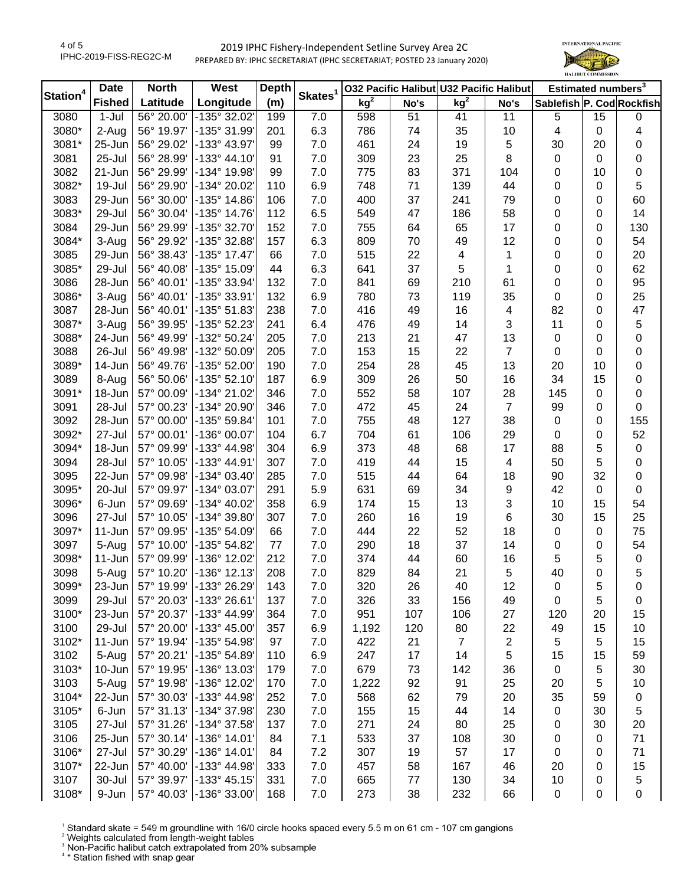

| Station <sup>4</sup> | <b>Date</b>   | <b>North</b>            | West                    | <b>Depth</b> | Skates <sup>1</sup> | 032 Pacific Halibut U32 Pacific Halibut |      |                         |                         | Estimated numbers <sup>3</sup> |             |                  |
|----------------------|---------------|-------------------------|-------------------------|--------------|---------------------|-----------------------------------------|------|-------------------------|-------------------------|--------------------------------|-------------|------------------|
|                      | <b>Fished</b> | Latitude                | Longitude               | (m)          |                     | kg <sup>2</sup>                         | No's | kg <sup>2</sup>         | No's                    | Sablefish P. Cod Rockfish      |             |                  |
| 3080                 | 1-Jul         | $\frac{1}{66}$ ° 20.00' | -135° 32.02'            | 199          | 7.0                 | 598                                     | 51   | 41                      | 11                      | 5                              | 15          | 0                |
| 3080*                | 2-Aug         | 56° 19.97'              | -135° 31.99'            | 201          | 6.3                 | 786                                     | 74   | 35                      | 10                      | 4                              | $\pmb{0}$   | 4                |
| 3081*                | 25-Jun        | 56° 29.02'              | -133° 43.97'            | 99           | 7.0                 | 461                                     | 24   | 19                      | 5                       | 30                             | 20          | 0                |
| 3081                 | 25-Jul        | 56° 28.99'              | $-133^{\circ}$ 44.10'   | 91           | 7.0                 | 309                                     | 23   | 25                      | 8                       | 0                              | 0           | $\pmb{0}$        |
| 3082                 | 21-Jun        | 56° 29.99'              | -134° 19.98'            | 99           | 7.0                 | 775                                     | 83   | 371                     | 104                     | 0                              | 10          | $\pmb{0}$        |
| 3082*                | 19-Jul        | 56° 29.90'              | -134° 20.02'            | 110          | 6.9                 | 748                                     | 71   | 139                     | 44                      | 0                              | 0           | 5                |
| 3083                 | 29-Jun        | 56° 30.00'              | -135° 14.86'            | 106          | 7.0                 | 400                                     | 37   | 241                     | 79                      | 0                              | 0           | 60               |
| 3083*                | 29-Jul        | 56° 30.04'              | $-135^{\circ}$ 14.76    | 112          | 6.5                 | 549                                     | 47   | 186                     | 58                      | 0                              | 0           | 14               |
| 3084                 | 29-Jun        | 56° 29.99'              | -135° 32.70'            | 152          | 7.0                 | 755                                     | 64   | 65                      | 17                      | 0                              | 0           | 130              |
| 3084*                | 3-Aug         | 56° 29.92'              | -135° 32.88'            | 157          | 6.3                 | 809                                     | 70   | 49                      | 12                      | 0                              | 0           | 54               |
| 3085                 | 29-Jun        | 56° 38.43'              | -135° 17.47'            | 66           | 7.0                 | 515                                     | 22   | $\overline{\mathbf{4}}$ | 1                       | 0                              | 0           | 20               |
| 3085*                | 29-Jul        | 56° 40.08'              | -135° 15.09'            | 44           | 6.3                 | 641                                     | 37   | 5                       | $\mathbf 1$             | 0                              | 0           | 62               |
| 3086                 | 28-Jun        | 56° 40.01'              | -135° 33.94'            | 132          | 7.0                 | 841                                     | 69   | 210                     | 61                      | 0                              | 0           | 95               |
| 3086*                | 3-Aug         | 56° 40.01'              | -135° 33.91'            | 132          | 6.9                 | 780                                     | 73   | 119                     | 35                      | 0                              | 0           | 25               |
| 3087                 | 28-Jun        | 56° 40.01'              | -135° 51.83'            | 238          | 7.0                 | 416                                     | 49   | 16                      | 4                       | 82                             | 0           | 47               |
| 3087*                | 3-Aug         | 56° 39.95'              | -135° 52.23'            | 241          | 6.4                 | 476                                     | 49   | 14                      | 3                       | 11                             | 0           | 5                |
| 3088*                | 24-Jun        | 56° 49.99'              | -132° 50.24             | 205          | 7.0                 | 213                                     | 21   | 47                      | 13                      | 0                              | 0           | $\boldsymbol{0}$ |
| 3088                 | 26-Jul        | 56° 49.98'              | -132° 50.09'            | 205          | 7.0                 | 153                                     | 15   | 22                      | $\overline{7}$          | 0                              | 0           | $\pmb{0}$        |
| 3089*                | 14-Jun        | 56° 49.76'              | -135° 52.00'            | 190          | 7.0                 | 254                                     | 28   | 45                      | 13                      | 20                             | 10          | $\boldsymbol{0}$ |
| 3089                 | 8-Aug         | 56° 50.06'              | $-135°52.10'$           | 187          | 6.9                 | 309                                     | 26   | 50                      | 16                      | 34                             | 15          | $\pmb{0}$        |
| 3091*                | 18-Jun        | 57° 00.09'              | -134° 21.02'            | 346          | 7.0                 | 552                                     | 58   | 107                     | 28                      | 145                            | 0           | $\pmb{0}$        |
| 3091                 | 28-Jul        | 57° 00.23'              | -134° 20.90'            | 346          | 7.0                 | 472                                     | 45   | 24                      | $\overline{7}$          | 99                             | 0           | 0                |
| 3092                 | 28-Jun        | 57° 00.00'              | -135° 59.84'            | 101          | 7.0                 | 755                                     | 48   | 127                     | 38                      | 0                              | 0           | 155              |
| 3092*                | 27-Jul        | 57° 00.01'              | -136° 00.07'            | 104          | 6.7                 | 704                                     | 61   | 106                     | 29                      | 0                              | 0           | 52               |
| 3094*                | 18-Jun        | 57° 09.99'              | -133° 44.98'            | 304          | 6.9                 | 373                                     | 48   | 68                      | 17                      | 88                             | 5           | $\pmb{0}$        |
| 3094                 | 28-Jul        | 57° 10.05'              | -133° 44.91'            | 307          | 7.0                 | 419                                     | 44   | 15                      | $\overline{\mathbf{4}}$ | 50                             | 5           | $\pmb{0}$        |
| 3095                 | 22-Jun        | 57° 09.98'              | -134° 03.40'            | 285          | 7.0                 | 515                                     | 44   | 64                      | 18                      | 90                             | 32          | $\boldsymbol{0}$ |
| 3095*                | 20-Jul        | 57° 09.97'              | -134° 03.07'            | 291          | 5.9                 | 631                                     | 69   | 34                      | 9                       | 42                             | $\mathbf 0$ | $\pmb{0}$        |
| 3096*                | 6-Jun         | 57° 09.69'              | -134° 40.02'            | 358          | 6.9                 | 174                                     | 15   | 13                      | 3                       | 10                             | 15          | 54               |
| 3096                 | 27-Jul        | 57° 10.05'              | -134° 39.80'            | 307          | 7.0                 | 260                                     | 16   | 19                      | 6                       | 30                             | 15          | 25               |
| 3097*                | $11 - Jun$    | 57° 09.95'              | -135° 54.09'            | 66           | 7.0                 | 444                                     | 22   | 52                      | 18                      | 0                              | 0           | 75               |
| 3097                 | 5-Aug         | 57° 10.00'              | -135° 54.82'            | 77           | 7.0                 | 290                                     | 18   | 37                      | 14                      | 0                              | 0           | 54               |
| 3098*                | $11 - Jun$    | 57° 09.99'              | -136° 12.02'            | 212          | 7.0                 | 374                                     | 44   | 60                      | 16                      | 5                              | 5           | $\pmb{0}$        |
| 3098                 | 5-Aug         | 57° 10.20'              | -136° 12.13'            | 208          | 7.0                 | 829                                     | 84   | 21                      | 5                       | 40                             | 0           | 5                |
| 3099*                | 23-Jun        | 57° 19.99'              | $\vert$ -133° 26.29'    | 143          | 7.0                 | 320                                     | 26   | 40                      | 12                      | 0                              | 5           | 0                |
| 3099                 | 29-Jul        | 57° 20.03'              | -133° 26.61'            | 137          | 7.0                 | 326                                     | 33   | 156                     | 49                      | 0                              | 5           | 0                |
| 3100*                | 23-Jun        | 57° 20.37'              | -133° 44.99'            | 364          | 7.0                 | 951                                     | 107  | 106                     | 27                      | 120                            | 20          | 15               |
| 3100                 | 29-Jul        | 57° 20.00'              | $-133^{\circ}$ 45.00'   | 357          | 6.9                 | 1,192                                   | 120  | 80                      | 22                      | 49                             | 15          | 10               |
| 3102*                | $11$ -Jun     | 57° 19.94'              | -135° 54.98'            | 97           | 7.0                 | 422                                     | 21   | $\overline{7}$          | 2                       | 5                              | 5           | 15               |
| 3102                 | 5-Aug         | 57° 20.21'              | -135° 54.89'            | 110          | 6.9                 | 247                                     | 17   | 14                      | 5                       | 15                             | 15          | 59               |
| 3103*                | $10$ -Jun     | 57° 19.95'              | -136° 13.03'            | 179          | 7.0                 | 679                                     | 73   | 142                     | 36                      | 0                              | 5           | 30               |
| 3103                 | 5-Aug         | 57° 19.98'              | -136° 12.02'            | 170          | 7.0                 | 1,222                                   | 92   | 91                      | 25                      | 20                             | 5           | 10               |
| 3104*                | 22-Jun        | 57° 30.03'              | -133° 44.98'            | 252          | 7.0                 | 568                                     | 62   | 79                      | 20                      | 35                             | 59          | $\pmb{0}$        |
| 3105*                | 6-Jun         | 57° 31.13'              | -134° 37.98'            | 230          | 7.0                 | 155                                     | 15   | 44                      | 14                      | 0                              | 30          | 5                |
| 3105                 | 27-Jul        | 57° 31.26'              | -134° 37.58'            | 137          | $7.0\,$             | 271                                     | 24   | 80                      | 25                      | 0                              | 30          | 20               |
| 3106                 | 25-Jun        | 57° 30.14'              | -136° 14.01'            | 84           | 7.1                 | 533                                     | 37   | 108                     | 30                      | 0                              | 0           | 71               |
| 3106*                | 27-Jul        | 57° 30.29'              | -136° 14.01'            | 84           | 7.2                 | 307                                     | 19   | 57                      | 17                      | 0                              | 0           | 71               |
| 3107*                | 22-Jun        | 57° 40.00'              | -133° 44.98'            | 333          | 7.0                 | 457                                     | 58   | 167                     | 46                      | 20                             | 0           | 15               |
| 3107                 | 30-Jul        | 57° 39.97'              | $-133^{\circ}$ 45.15'   | 331          | 7.0                 | 665                                     | 77   | 130                     | 34                      | 10                             | 0           | 5                |
| 3108*                | 9-Jun         |                         | 57° 40.03' -136° 33.00' | 168          | $7.0\,$             | 273                                     | 38   | 232                     | 66                      | 0                              | 0           | $\mathbf 0$      |